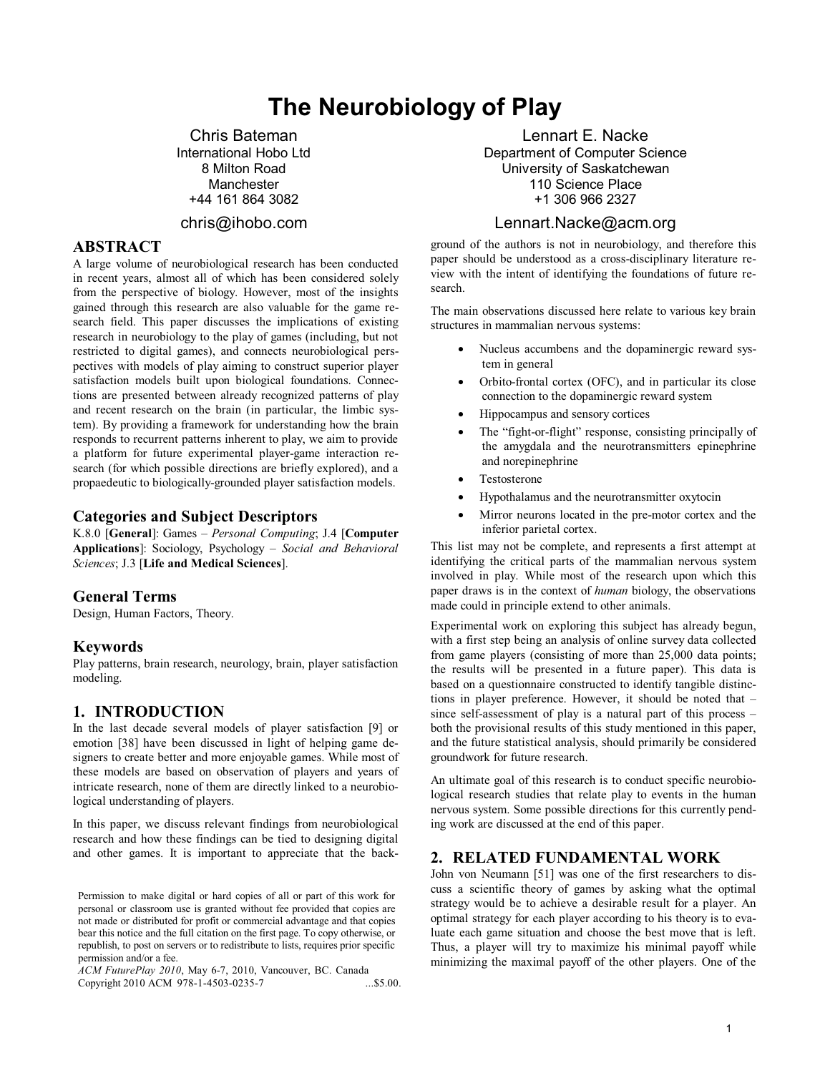# **The Neurobiology of Play**

Chris Bateman International Hobo Ltd 8 Milton Road Manchester +44 161 864 3082

# chris@ihobo.com

# **ABSTRACT**

A large volume of neurobiological research has been conducted in recent years, almost all of which has been considered solely from the perspective of biology. However, most of the insights gained through this research are also valuable for the game research field. This paper discusses the implications of existing research in neurobiology to the play of games (including, but not restricted to digital games), and connects neurobiological perspectives with models of play aiming to construct superior player satisfaction models built upon biological foundations. Connections are presented between already recognized patterns of play and recent research on the brain (in particular, the limbic system). By providing a framework for understanding how the brain responds to recurrent patterns inherent to play, we aim to provide a platform for future experimental player-game interaction research (for which possible directions are briefly explored), and a propaedeutic to biologically-grounded player satisfaction models.

#### **Categories and Subject Descriptors**

K.8.0 [**General**]: Games – *Personal Computing*; J.4 [**Computer Applications**]: Sociology, Psychology – *Social and Behavioral Sciences*; J.3 [**Life and Medical Sciences**].

#### **General Terms**

Design, Human Factors, Theory.

#### **Keywords**

Play patterns, brain research, neurology, brain, player satisfaction modeling.

## **1. INTRODUCTION**

In the last decade several models of player satisfaction [9] or emotion [38] have been discussed in light of helping game designers to create better and more enjoyable games. While most of these models are based on observation of players and years of intricate research, none of them are directly linked to a neurobiological understanding of players.

In this paper, we discuss relevant findings from neurobiological research and how these findings can be tied to designing digital and other games. It is important to appreciate that the back-

*ACM FuturePlay 2010*, May 6-7, 2010, Vancouver, BC. Canada Copyright 2010 ACM 978-1-4503-0235-7

# Lennart E. Nacke

Department of Computer Science University of Saskatchewan 110 Science Place +1 306 966 2327

## Lennart.Nacke@acm.org

ground of the authors is not in neurobiology, and therefore this paper should be understood as a cross-disciplinary literature review with the intent of identifying the foundations of future research.

The main observations discussed here relate to various key brain structures in mammalian nervous systems:

- - Nucleus accumbens and the dopaminergic reward system in general
- - Orbito-frontal cortex (OFC), and in particular its close connection to the dopaminergic reward system
- -Hippocampus and sensory cortices
- - The "fight-or-flight" response, consisting principally of the amygdala and the neurotransmitters epinephrine and norepinephrine
- -Testosterone
- -Hypothalamus and the neurotransmitter oxytocin
- - Mirror neurons located in the pre-motor cortex and the inferior parietal cortex.

This list may not be complete, and represents a first attempt at identifying the critical parts of the mammalian nervous system involved in play. While most of the research upon which this paper draws is in the context of *human* biology, the observations made could in principle extend to other animals.

Experimental work on exploring this subject has already begun, with a first step being an analysis of online survey data collected from game players (consisting of more than 25,000 data points; the results will be presented in a future paper). This data is based on a questionnaire constructed to identify tangible distinctions in player preference. However, it should be noted that – since self-assessment of play is a natural part of this process – both the provisional results of this study mentioned in this paper, and the future statistical analysis, should primarily be considered groundwork for future research.

An ultimate goal of this research is to conduct specific neurobiological research studies that relate play to events in the human nervous system. Some possible directions for this currently pending work are discussed at the end of this paper.

## **2. RELATED FUNDAMENTAL WORK**

John von Neumann [51] was one of the first researchers to discuss a scientific theory of games by asking what the optimal strategy would be to achieve a desirable result for a player. An optimal strategy for each player according to his theory is to evaluate each game situation and choose the best move that is left. Thus, a player will try to maximize his minimal payoff while minimizing the maximal payoff of the other players. One of the

Permission to make digital or hard copies of all or part of this work for personal or classroom use is granted without fee provided that copies are not made or distributed for profit or commercial advantage and that copies bear this notice and the full citation on the first page. To copy otherwise, or republish, to post on servers or to redistribute to lists, requires prior specific permission and/or a fee.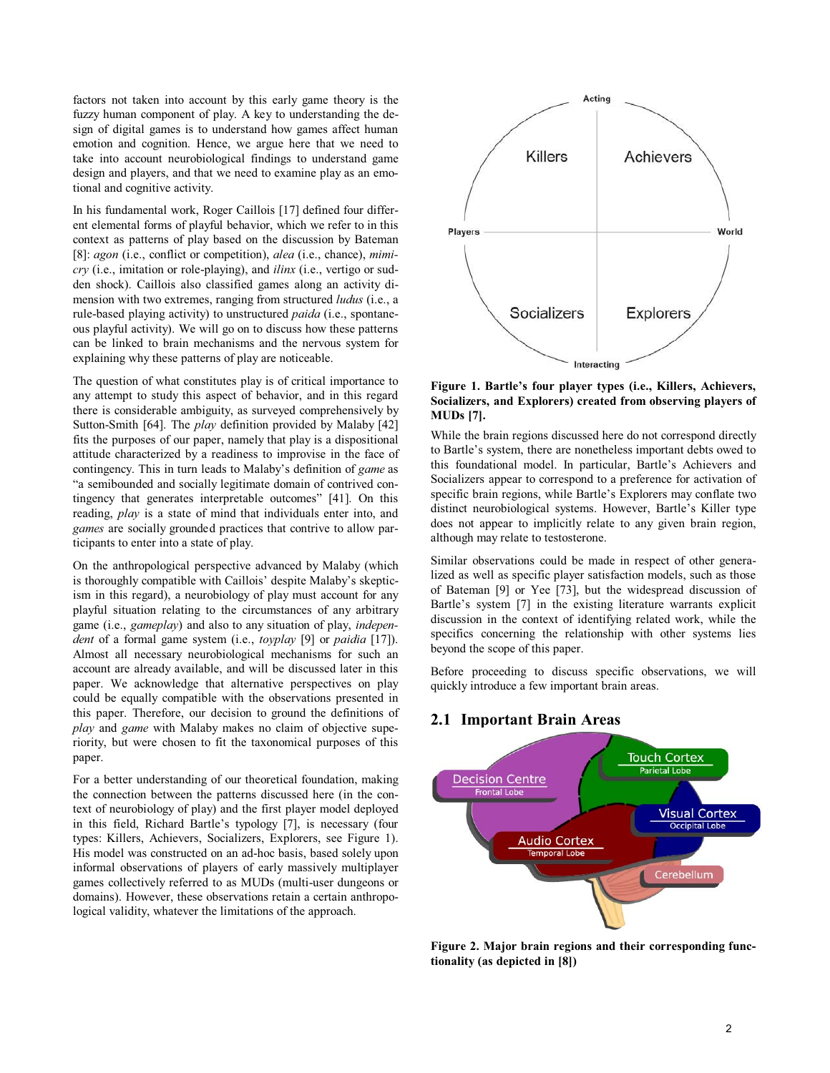factors not taken into account by this early game theory is the fuzzy human component of play. A key to understanding the design of digital games is to understand how games affect human emotion and cognition. Hence, we argue here that we need to take into account neurobiological findings to understand game design and players, and that we need to examine play as an emotional and cognitive activity.

In his fundamental work, Roger Caillois [17] defined four different elemental forms of playful behavior, which we refer to in this context as patterns of play based on the discussion by Bateman [8]: *agon* (i.e., conflict or competition), *alea* (i.e., chance), *mimicry* (i.e., imitation or role-playing), and *ilinx* (i.e., vertigo or sudden shock). Caillois also classified games along an activity dimension with two extremes, ranging from structured *ludus* (i.e., a rule-based playing activity) to unstructured *paida* (i.e., spontaneous playful activity). We will go on to discuss how these patterns can be linked to brain mechanisms and the nervous system for explaining why these patterns of play are noticeable.

The question of what constitutes play is of critical importance to any attempt to study this aspect of behavior, and in this regard there is considerable ambiguity, as surveyed comprehensively by Sutton-Smith [64]. The *play* definition provided by Malaby [42] fits the purposes of our paper, namely that play is a dispositional attitude characterized by a readiness to improvise in the face of contingency. This in turn leads to Malaby's definition of *game* as "a semibounded and socially legitimate domain of contrived contingency that generates interpretable outcomes" [41]. On this reading, *play* is a state of mind that individuals enter into, and *games* are socially grounded practices that contrive to allow participants to enter into a state of play.

On the anthropological perspective advanced by Malaby (which is thoroughly compatible with Caillois' despite Malaby's skepticism in this regard), a neurobiology of play must account for any playful situation relating to the circumstances of any arbitrary game (i.e., *gameplay*) and also to any situation of play, *independent* of a formal game system (i.e., *toyplay* [9] or *paidia* [17]). Almost all necessary neurobiological mechanisms for such an account are already available, and will be discussed later in this paper. We acknowledge that alternative perspectives on play could be equally compatible with the observations presented in this paper. Therefore, our decision to ground the definitions of *play* and *game* with Malaby makes no claim of objective superiority, but were chosen to fit the taxonomical purposes of this paper.

For a better understanding of our theoretical foundation, making the connection between the patterns discussed here (in the context of neurobiology of play) and the first player model deployed in this field, Richard Bartle's typology [7], is necessary (four types: Killers, Achievers, Socializers, Explorers, see Figure 1). His model was constructed on an ad-hoc basis, based solely upon informal observations of players of early massively multiplayer games collectively referred to as MUDs (multi-user dungeons or domains). However, these observations retain a certain anthropological validity, whatever the limitations of the approach.



#### **Figure 1. Bartle's four player types (i.e., Killers, Achievers, Socializers, and Explorers) created from observing players of MUDs [7].**

While the brain regions discussed here do not correspond directly to Bartle's system, there are nonetheless important debts owed to this foundational model. In particular, Bartle's Achievers and Socializers appear to correspond to a preference for activation of specific brain regions, while Bartle's Explorers may conflate two distinct neurobiological systems. However, Bartle's Killer type does not appear to implicitly relate to any given brain region, although may relate to testosterone.

Similar observations could be made in respect of other generalized as well as specific player satisfaction models, such as those of Bateman [9] or Yee [73], but the widespread discussion of Bartle's system [7] in the existing literature warrants explicit discussion in the context of identifying related work, while the specifics concerning the relationship with other systems lies beyond the scope of this paper.

Before proceeding to discuss specific observations, we will quickly introduce a few important brain areas.

## **2.1 Important Brain Areas**



**Figure 2. Major brain regions and their corresponding functionality (as depicted in [8])**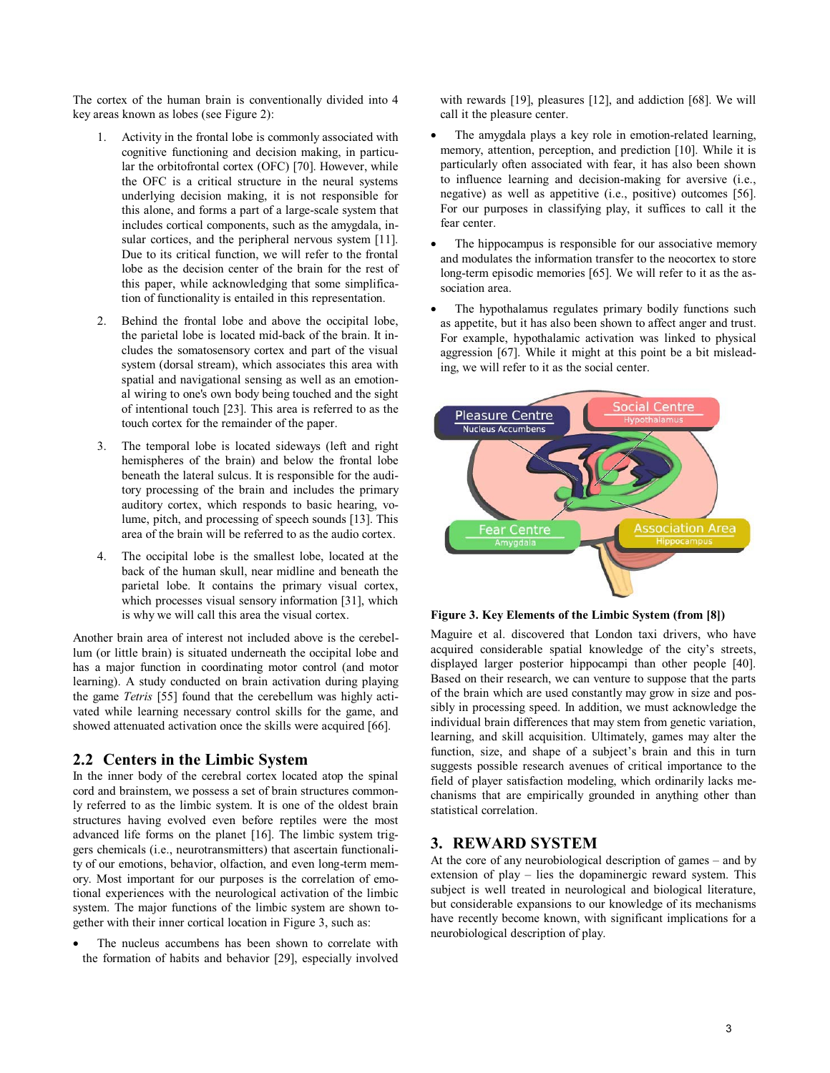The cortex of the human brain is conventionally divided into 4 key areas known as lobes (see Figure 2):

- 1. Activity in the frontal lobe is commonly associated with cognitive functioning and decision making, in particular the orbitofrontal cortex (OFC) [70]. However, while the OFC is a critical structure in the neural systems underlying decision making, it is not responsible for this alone, and forms a part of a large-scale system that includes cortical components, such as the amygdala, insular cortices, and the peripheral nervous system [11]. Due to its critical function, we will refer to the frontal lobe as the decision center of the brain for the rest of this paper, while acknowledging that some simplification of functionality is entailed in this representation.
- 2. Behind the frontal lobe and above the occipital lobe, the parietal lobe is located mid-back of the brain. It includes the somatosensory cortex and part of the visual system (dorsal stream), which associates this area with spatial and navigational sensing as well as an emotional wiring to one's own body being touched and the sight of intentional touch [23]. This area is referred to as the touch cortex for the remainder of the paper.
- 3. The temporal lobe is located sideways (left and right hemispheres of the brain) and below the frontal lobe beneath the lateral sulcus. It is responsible for the auditory processing of the brain and includes the primary auditory cortex, which responds to basic hearing, volume, pitch, and processing of speech sounds [13]. This area of the brain will be referred to as the audio cortex.
- 4. The occipital lobe is the smallest lobe, located at the back of the human skull, near midline and beneath the parietal lobe. It contains the primary visual cortex, which processes visual sensory information [31], which is why we will call this area the visual cortex.

Another brain area of interest not included above is the cerebellum (or little brain) is situated underneath the occipital lobe and has a major function in coordinating motor control (and motor learning). A study conducted on brain activation during playing the game *Tetris* [55] found that the cerebellum was highly activated while learning necessary control skills for the game, and showed attenuated activation once the skills were acquired [66].

## **2.2 Centers in the Limbic System**

In the inner body of the cerebral cortex located atop the spinal cord and brainstem, we possess a set of brain structures commonly referred to as the limbic system. It is one of the oldest brain structures having evolved even before reptiles were the most advanced life forms on the planet [16]. The limbic system triggers chemicals (i.e., neurotransmitters) that ascertain functionality of our emotions, behavior, olfaction, and even long-term memory. Most important for our purposes is the correlation of emotional experiences with the neurological activation of the limbic system. The major functions of the limbic system are shown together with their inner cortical location in Figure 3, such as:

- The nucleus accumbens has been shown to correlate with the formation of habits and behavior [29], especially involved with rewards [19], pleasures [12], and addiction [68]. We will call it the pleasure center.

- $\bullet$  The amygdala plays a key role in emotion-related learning, memory, attention, perception, and prediction [10]. While it is particularly often associated with fear, it has also been shown to influence learning and decision-making for aversive (i.e., negative) as well as appetitive (i.e., positive) outcomes [56]. For our purposes in classifying play, it suffices to call it the fear center.
- - The hippocampus is responsible for our associative memory and modulates the information transfer to the neocortex to store long-term episodic memories [65]. We will refer to it as the association area.
- - The hypothalamus regulates primary bodily functions such as appetite, but it has also been shown to affect anger and trust. For example, hypothalamic activation was linked to physical aggression [67]. While it might at this point be a bit misleading, we will refer to it as the social center.





Maguire et al. discovered that London taxi drivers, who have acquired considerable spatial knowledge of the city's streets, displayed larger posterior hippocampi than other people [40]. Based on their research, we can venture to suppose that the parts of the brain which are used constantly may grow in size and possibly in processing speed. In addition, we must acknowledge the individual brain differences that may stem from genetic variation, learning, and skill acquisition. Ultimately, games may alter the function, size, and shape of a subject's brain and this in turn suggests possible research avenues of critical importance to the field of player satisfaction modeling, which ordinarily lacks mechanisms that are empirically grounded in anything other than statistical correlation.

## **3. REWARD SYSTEM**

At the core of any neurobiological description of games – and by extension of play – lies the dopaminergic reward system. This subject is well treated in neurological and biological literature, but considerable expansions to our knowledge of its mechanisms have recently become known, with significant implications for a neurobiological description of play.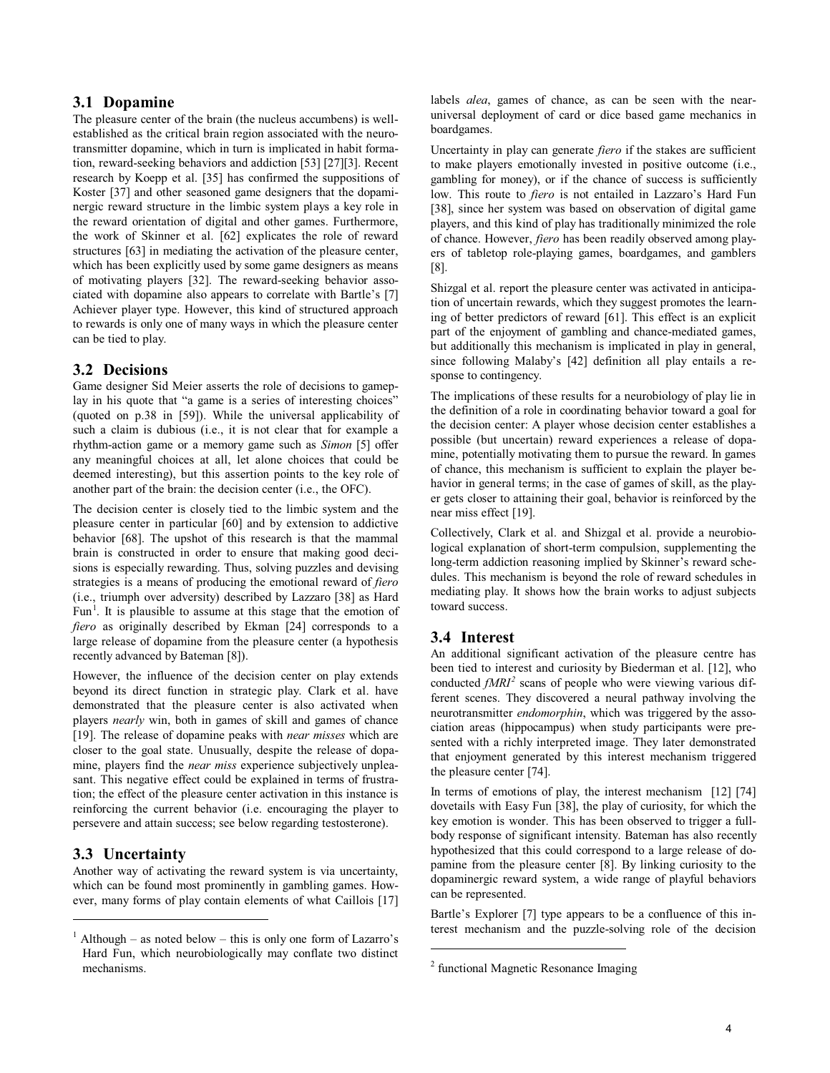## **3.1 Dopamine**

The pleasure center of the brain (the nucleus accumbens) is wellestablished as the critical brain region associated with the neurotransmitter dopamine, which in turn is implicated in habit formation, reward-seeking behaviors and addiction [53] [27][3]. Recent research by Koepp et al. [35] has confirmed the suppositions of Koster [37] and other seasoned game designers that the dopaminergic reward structure in the limbic system plays a key role in the reward orientation of digital and other games. Furthermore, the work of Skinner et al. [62] explicates the role of reward structures [63] in mediating the activation of the pleasure center, which has been explicitly used by some game designers as means of motivating players [32]. The reward-seeking behavior associated with dopamine also appears to correlate with Bartle's [7] Achiever player type. However, this kind of structured approach to rewards is only one of many ways in which the pleasure center can be tied to play.

#### **3.2 Decisions**

Game designer Sid Meier asserts the role of decisions to gameplay in his quote that "a game is a series of interesting choices" (quoted on p.38 in [59]). While the universal applicability of such a claim is dubious (i.e., it is not clear that for example a rhythm-action game or a memory game such as *Simon* [5] offer any meaningful choices at all, let alone choices that could be deemed interesting), but this assertion points to the key role of another part of the brain: the decision center (i.e., the OFC).

The decision center is closely tied to the limbic system and the pleasure center in particular [60] and by extension to addictive behavior [68]. The upshot of this research is that the mammal brain is constructed in order to ensure that making good decisions is especially rewarding. Thus, solving puzzles and devising strategies is a means of producing the emotional reward of *fiero* (i.e., triumph over adversity) described by Lazzaro [38] as Hard Fun<sup>1</sup>. It is plausible to assume at this stage that the emotion of *fiero* as originally described by Ekman [24] corresponds to a large release of dopamine from the pleasure center (a hypothesis recently advanced by Bateman [8]).

However, the influence of the decision center on play extends beyond its direct function in strategic play. Clark et al. have demonstrated that the pleasure center is also activated when players *nearly* win, both in games of skill and games of chance [19]. The release of dopamine peaks with *near misses* which are closer to the goal state. Unusually, despite the release of dopamine, players find the *near miss* experience subjectively unpleasant. This negative effect could be explained in terms of frustration; the effect of the pleasure center activation in this instance is reinforcing the current behavior (i.e. encouraging the player to persevere and attain success; see below regarding testosterone).

#### **3.3 Uncertainty**

 $\overline{a}$ 

Another way of activating the reward system is via uncertainty, which can be found most prominently in gambling games. However, many forms of play contain elements of what Caillois [17]

labels *alea*, games of chance, as can be seen with the nearuniversal deployment of card or dice based game mechanics in boardgames.

Uncertainty in play can generate *fiero* if the stakes are sufficient to make players emotionally invested in positive outcome (i.e., gambling for money), or if the chance of success is sufficiently low. This route to *fiero* is not entailed in Lazzaro's Hard Fun [38], since her system was based on observation of digital game players, and this kind of play has traditionally minimized the role of chance. However, *fiero* has been readily observed among players of tabletop role-playing games, boardgames, and gamblers [8].

Shizgal et al. report the pleasure center was activated in anticipation of uncertain rewards, which they suggest promotes the learning of better predictors of reward [61]. This effect is an explicit part of the enjoyment of gambling and chance-mediated games, but additionally this mechanism is implicated in play in general, since following Malaby's [42] definition all play entails a response to contingency.

The implications of these results for a neurobiology of play lie in the definition of a role in coordinating behavior toward a goal for the decision center: A player whose decision center establishes a possible (but uncertain) reward experiences a release of dopamine, potentially motivating them to pursue the reward. In games of chance, this mechanism is sufficient to explain the player behavior in general terms; in the case of games of skill, as the player gets closer to attaining their goal, behavior is reinforced by the near miss effect [19].

Collectively, Clark et al. and Shizgal et al. provide a neurobiological explanation of short-term compulsion, supplementing the long-term addiction reasoning implied by Skinner's reward schedules. This mechanism is beyond the role of reward schedules in mediating play. It shows how the brain works to adjust subjects toward success.

## **3.4 Interest**

j

An additional significant activation of the pleasure centre has been tied to interest and curiosity by Biederman et al. [12], who conducted  $fMRI<sup>2</sup>$  scans of people who were viewing various different scenes. They discovered a neural pathway involving the neurotransmitter *endomorphin*, which was triggered by the association areas (hippocampus) when study participants were presented with a richly interpreted image. They later demonstrated that enjoyment generated by this interest mechanism triggered the pleasure center [74].

In terms of emotions of play, the interest mechanism [12] [74] dovetails with Easy Fun [38], the play of curiosity, for which the key emotion is wonder. This has been observed to trigger a fullbody response of significant intensity. Bateman has also recently hypothesized that this could correspond to a large release of dopamine from the pleasure center [8]. By linking curiosity to the dopaminergic reward system, a wide range of playful behaviors can be represented.

Bartle's Explorer [7] type appears to be a confluence of this interest mechanism and the puzzle-solving role of the decision

 $<sup>1</sup>$  Although – as noted below – this is only one form of Lazarro's</sup> Hard Fun, which neurobiologically may conflate two distinct mechanisms.

<sup>&</sup>lt;sup>2</sup> functional Magnetic Resonance Imaging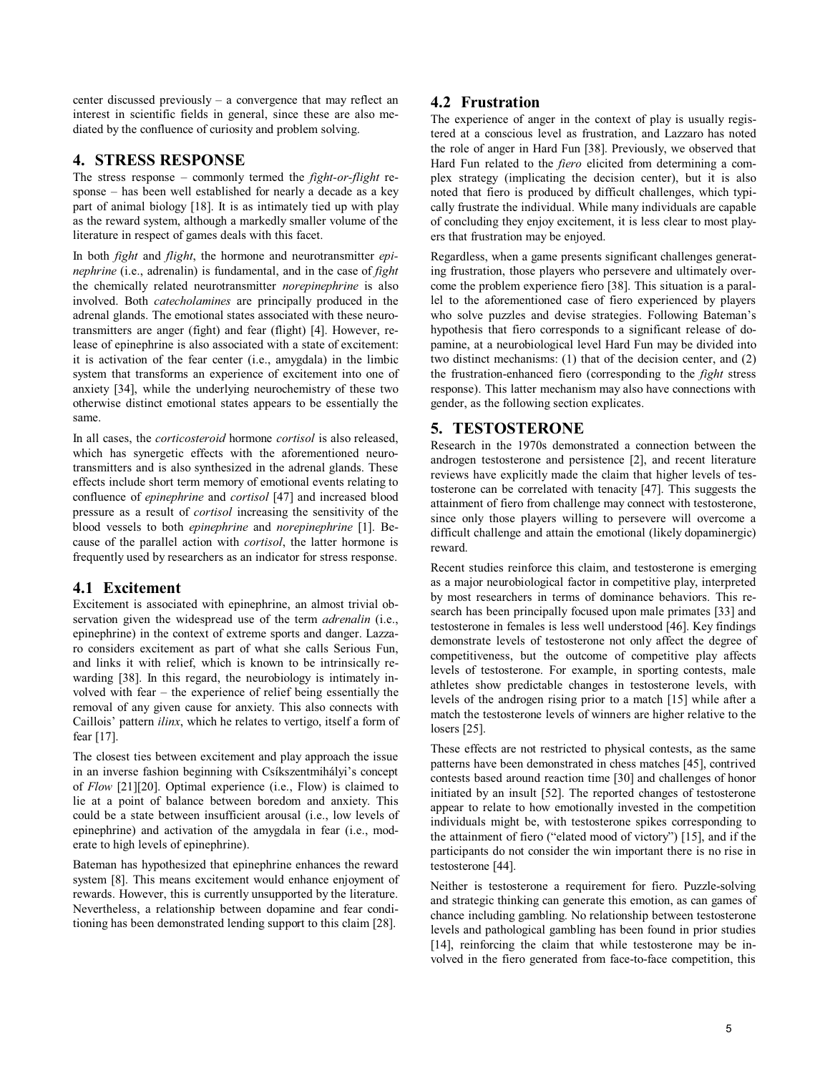center discussed previously – a convergence that may reflect an interest in scientific fields in general, since these are also mediated by the confluence of curiosity and problem solving.

## **4. STRESS RESPONSE**

The stress response – commonly termed the *fight-or-flight* response – has been well established for nearly a decade as a key part of animal biology [18]. It is as intimately tied up with play as the reward system, although a markedly smaller volume of the literature in respect of games deals with this facet.

In both *fight* and *flight*, the hormone and neurotransmitter *epinephrine* (i.e., adrenalin) is fundamental, and in the case of *fight* the chemically related neurotransmitter *norepinephrine* is also involved. Both *catecholamines* are principally produced in the adrenal glands. The emotional states associated with these neurotransmitters are anger (fight) and fear (flight) [4]. However, release of epinephrine is also associated with a state of excitement: it is activation of the fear center (i.e., amygdala) in the limbic system that transforms an experience of excitement into one of anxiety [34], while the underlying neurochemistry of these two otherwise distinct emotional states appears to be essentially the same.

In all cases, the *corticosteroid* hormone *cortisol* is also released, which has synergetic effects with the aforementioned neurotransmitters and is also synthesized in the adrenal glands. These effects include short term memory of emotional events relating to confluence of *epinephrine* and *cortisol* [47] and increased blood pressure as a result of *cortisol* increasing the sensitivity of the blood vessels to both *epinephrine* and *norepinephrine* [1]. Because of the parallel action with *cortisol*, the latter hormone is frequently used by researchers as an indicator for stress response.

# **4.1 Excitement**

Excitement is associated with epinephrine, an almost trivial observation given the widespread use of the term *adrenalin* (i.e., epinephrine) in the context of extreme sports and danger. Lazzaro considers excitement as part of what she calls Serious Fun, and links it with relief, which is known to be intrinsically rewarding [38]. In this regard, the neurobiology is intimately involved with fear – the experience of relief being essentially the removal of any given cause for anxiety. This also connects with Caillois' pattern *ilinx*, which he relates to vertigo, itself a form of fear [17].

The closest ties between excitement and play approach the issue in an inverse fashion beginning with Csíkszentmihályi's concept of *Flow* [21][20]. Optimal experience (i.e., Flow) is claimed to lie at a point of balance between boredom and anxiety. This could be a state between insufficient arousal (i.e., low levels of epinephrine) and activation of the amygdala in fear (i.e., moderate to high levels of epinephrine).

Bateman has hypothesized that epinephrine enhances the reward system [8]. This means excitement would enhance enjoyment of rewards. However, this is currently unsupported by the literature. Nevertheless, a relationship between dopamine and fear conditioning has been demonstrated lending support to this claim [28].

# **4.2 Frustration**

The experience of anger in the context of play is usually registered at a conscious level as frustration, and Lazzaro has noted the role of anger in Hard Fun [38]. Previously, we observed that Hard Fun related to the *fiero* elicited from determining a complex strategy (implicating the decision center), but it is also noted that fiero is produced by difficult challenges, which typically frustrate the individual. While many individuals are capable of concluding they enjoy excitement, it is less clear to most players that frustration may be enjoyed.

Regardless, when a game presents significant challenges generating frustration, those players who persevere and ultimately overcome the problem experience fiero [38]. This situation is a parallel to the aforementioned case of fiero experienced by players who solve puzzles and devise strategies. Following Bateman's hypothesis that fiero corresponds to a significant release of dopamine, at a neurobiological level Hard Fun may be divided into two distinct mechanisms: (1) that of the decision center, and (2) the frustration-enhanced fiero (corresponding to the *fight* stress response). This latter mechanism may also have connections with gender, as the following section explicates.

# **5. TESTOSTERONE**

Research in the 1970s demonstrated a connection between the androgen testosterone and persistence [2], and recent literature reviews have explicitly made the claim that higher levels of testosterone can be correlated with tenacity [47]. This suggests the attainment of fiero from challenge may connect with testosterone, since only those players willing to persevere will overcome a difficult challenge and attain the emotional (likely dopaminergic) reward.

Recent studies reinforce this claim, and testosterone is emerging as a major neurobiological factor in competitive play, interpreted by most researchers in terms of dominance behaviors. This research has been principally focused upon male primates [33] and testosterone in females is less well understood [46]. Key findings demonstrate levels of testosterone not only affect the degree of competitiveness, but the outcome of competitive play affects levels of testosterone. For example, in sporting contests, male athletes show predictable changes in testosterone levels, with levels of the androgen rising prior to a match [15] while after a match the testosterone levels of winners are higher relative to the losers [25].

These effects are not restricted to physical contests, as the same patterns have been demonstrated in chess matches [45], contrived contests based around reaction time [30] and challenges of honor initiated by an insult [52]. The reported changes of testosterone appear to relate to how emotionally invested in the competition individuals might be, with testosterone spikes corresponding to the attainment of fiero ("elated mood of victory") [15], and if the participants do not consider the win important there is no rise in testosterone [44].

Neither is testosterone a requirement for fiero. Puzzle-solving and strategic thinking can generate this emotion, as can games of chance including gambling. No relationship between testosterone levels and pathological gambling has been found in prior studies [14], reinforcing the claim that while testosterone may be involved in the fiero generated from face-to-face competition, this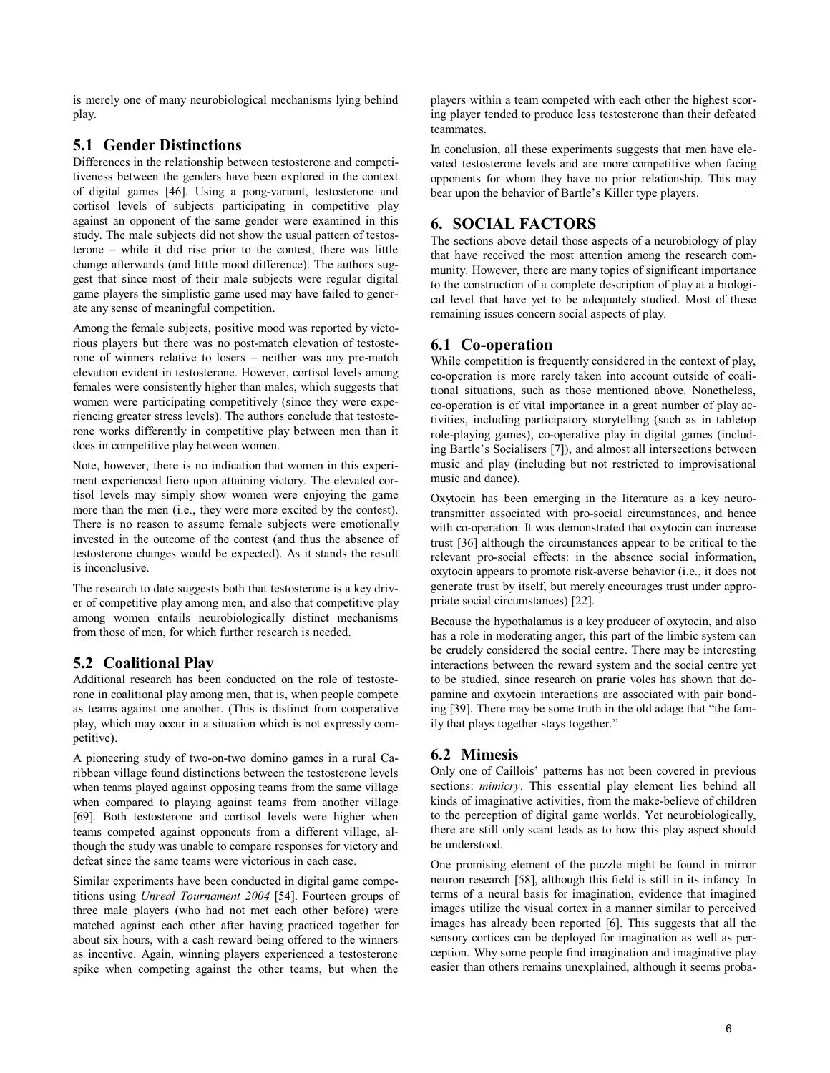is merely one of many neurobiological mechanisms lying behind play.

# **5.1 Gender Distinctions**

Differences in the relationship between testosterone and competitiveness between the genders have been explored in the context of digital games [46]. Using a pong-variant, testosterone and cortisol levels of subjects participating in competitive play against an opponent of the same gender were examined in this study. The male subjects did not show the usual pattern of testosterone – while it did rise prior to the contest, there was little change afterwards (and little mood difference). The authors suggest that since most of their male subjects were regular digital game players the simplistic game used may have failed to generate any sense of meaningful competition.

Among the female subjects, positive mood was reported by victorious players but there was no post-match elevation of testosterone of winners relative to losers – neither was any pre-match elevation evident in testosterone. However, cortisol levels among females were consistently higher than males, which suggests that women were participating competitively (since they were experiencing greater stress levels). The authors conclude that testosterone works differently in competitive play between men than it does in competitive play between women.

Note, however, there is no indication that women in this experiment experienced fiero upon attaining victory. The elevated cortisol levels may simply show women were enjoying the game more than the men (i.e., they were more excited by the contest). There is no reason to assume female subjects were emotionally invested in the outcome of the contest (and thus the absence of testosterone changes would be expected). As it stands the result is inconclusive.

The research to date suggests both that testosterone is a key driver of competitive play among men, and also that competitive play among women entails neurobiologically distinct mechanisms from those of men, for which further research is needed.

# **5.2 Coalitional Play**

Additional research has been conducted on the role of testosterone in coalitional play among men, that is, when people compete as teams against one another. (This is distinct from cooperative play, which may occur in a situation which is not expressly competitive).

A pioneering study of two-on-two domino games in a rural Caribbean village found distinctions between the testosterone levels when teams played against opposing teams from the same village when compared to playing against teams from another village [69]. Both testosterone and cortisol levels were higher when teams competed against opponents from a different village, although the study was unable to compare responses for victory and defeat since the same teams were victorious in each case.

Similar experiments have been conducted in digital game competitions using *Unreal Tournament 2004* [54]. Fourteen groups of three male players (who had not met each other before) were matched against each other after having practiced together for about six hours, with a cash reward being offered to the winners as incentive. Again, winning players experienced a testosterone spike when competing against the other teams, but when the

players within a team competed with each other the highest scoring player tended to produce less testosterone than their defeated teammates.

In conclusion, all these experiments suggests that men have elevated testosterone levels and are more competitive when facing opponents for whom they have no prior relationship. This may bear upon the behavior of Bartle's Killer type players.

# **6. SOCIAL FACTORS**

The sections above detail those aspects of a neurobiology of play that have received the most attention among the research community. However, there are many topics of significant importance to the construction of a complete description of play at a biological level that have yet to be adequately studied. Most of these remaining issues concern social aspects of play.

# **6.1 Co-operation**

While competition is frequently considered in the context of play, co-operation is more rarely taken into account outside of coalitional situations, such as those mentioned above. Nonetheless, co-operation is of vital importance in a great number of play activities, including participatory storytelling (such as in tabletop role-playing games), co-operative play in digital games (including Bartle's Socialisers [7]), and almost all intersections between music and play (including but not restricted to improvisational music and dance).

Oxytocin has been emerging in the literature as a key neurotransmitter associated with pro-social circumstances, and hence with co-operation. It was demonstrated that oxytocin can increase trust [36] although the circumstances appear to be critical to the relevant pro-social effects: in the absence social information, oxytocin appears to promote risk-averse behavior (i.e., it does not generate trust by itself, but merely encourages trust under appropriate social circumstances) [22].

Because the hypothalamus is a key producer of oxytocin, and also has a role in moderating anger, this part of the limbic system can be crudely considered the social centre. There may be interesting interactions between the reward system and the social centre yet to be studied, since research on prarie voles has shown that dopamine and oxytocin interactions are associated with pair bonding [39]. There may be some truth in the old adage that "the family that plays together stays together."

# **6.2 Mimesis**

Only one of Caillois' patterns has not been covered in previous sections: *mimicry*. This essential play element lies behind all kinds of imaginative activities, from the make-believe of children to the perception of digital game worlds. Yet neurobiologically, there are still only scant leads as to how this play aspect should be understood.

One promising element of the puzzle might be found in mirror neuron research [58], although this field is still in its infancy. In terms of a neural basis for imagination, evidence that imagined images utilize the visual cortex in a manner similar to perceived images has already been reported [6]. This suggests that all the sensory cortices can be deployed for imagination as well as perception. Why some people find imagination and imaginative play easier than others remains unexplained, although it seems proba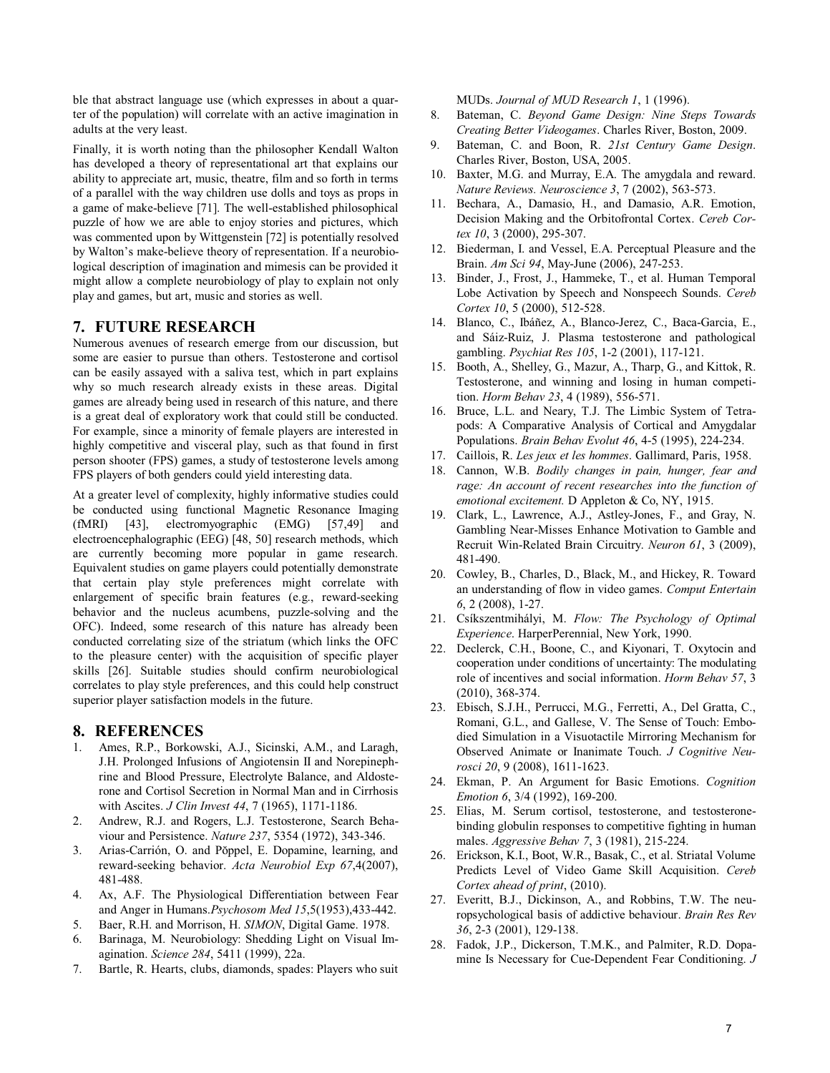ble that abstract language use (which expresses in about a quarter of the population) will correlate with an active imagination in adults at the very least.

Finally, it is worth noting than the philosopher Kendall Walton has developed a theory of representational art that explains our ability to appreciate art, music, theatre, film and so forth in terms of a parallel with the way children use dolls and toys as props in a game of make-believe [71]. The well-established philosophical puzzle of how we are able to enjoy stories and pictures, which was commented upon by Wittgenstein [72] is potentially resolved by Walton's make-believe theory of representation. If a neurobiological description of imagination and mimesis can be provided it might allow a complete neurobiology of play to explain not only play and games, but art, music and stories as well.

## **7. FUTURE RESEARCH**

Numerous avenues of research emerge from our discussion, but some are easier to pursue than others. Testosterone and cortisol can be easily assayed with a saliva test, which in part explains why so much research already exists in these areas. Digital games are already being used in research of this nature, and there is a great deal of exploratory work that could still be conducted. For example, since a minority of female players are interested in highly competitive and visceral play, such as that found in first person shooter (FPS) games, a study of testosterone levels among FPS players of both genders could yield interesting data.

At a greater level of complexity, highly informative studies could be conducted using functional Magnetic Resonance Imaging (fMRI) [43], electromyographic (EMG) [57,49] and electroencephalographic (EEG) [48, 50] research methods, which are currently becoming more popular in game research. Equivalent studies on game players could potentially demonstrate that certain play style preferences might correlate with enlargement of specific brain features (e.g., reward-seeking behavior and the nucleus acumbens, puzzle-solving and the OFC). Indeed, some research of this nature has already been conducted correlating size of the striatum (which links the OFC to the pleasure center) with the acquisition of specific player skills [26]. Suitable studies should confirm neurobiological correlates to play style preferences, and this could help construct superior player satisfaction models in the future.

## **8. REFERENCES**

- 1. Ames, R.P., Borkowski, A.J., Sicinski, A.M., and Laragh, J.H. Prolonged Infusions of Angiotensin II and Norepinephrine and Blood Pressure, Electrolyte Balance, and Aldosterone and Cortisol Secretion in Normal Man and in Cirrhosis with Ascites. *J Clin Invest 44*, 7 (1965), 1171-1186.
- 2. Andrew, R.J. and Rogers, L.J. Testosterone, Search Behaviour and Persistence. *Nature 237*, 5354 (1972), 343-346.
- 3. Arias-Carrión, O. and Pŏppel, E. Dopamine, learning, and reward-seeking behavior. *Acta Neurobiol Exp 67*,4(2007), 481-488.
- 4. Ax, A.F. The Physiological Differentiation between Fear and Anger in Humans.*Psychosom Med 15*,5(1953),433-442.
- 5. Baer, R.H. and Morrison, H. *SIMON*, Digital Game. 1978.
- 6. Barinaga, M. Neurobiology: Shedding Light on Visual Imagination. *Science 284*, 5411 (1999), 22a.
- 7. Bartle, R. Hearts, clubs, diamonds, spades: Players who suit

MUDs. *Journal of MUD Research 1*, 1 (1996).

- 8. Bateman, C. *Beyond Game Design: Nine Steps Towards Creating Better Videogames*. Charles River, Boston, 2009.
- 9. Bateman, C. and Boon, R. *21st Century Game Design*. Charles River, Boston, USA, 2005.
- 10. Baxter, M.G. and Murray, E.A. The amygdala and reward. *Nature Reviews. Neuroscience 3*, 7 (2002), 563-573.
- 11. Bechara, A., Damasio, H., and Damasio, A.R. Emotion, Decision Making and the Orbitofrontal Cortex. *Cereb Cortex 10*, 3 (2000), 295-307.
- 12. Biederman, I. and Vessel, E.A. Perceptual Pleasure and the Brain. *Am Sci 94*, May-June (2006), 247-253.
- 13. Binder, J., Frost, J., Hammeke, T., et al. Human Temporal Lobe Activation by Speech and Nonspeech Sounds. *Cereb Cortex 10*, 5 (2000), 512-528.
- 14. Blanco, C., Ibáñez, A., Blanco-Jerez, C., Baca-Garcia, E., and Sáiz-Ruiz, J. Plasma testosterone and pathological gambling. *Psychiat Res 105*, 1-2 (2001), 117-121.
- 15. Booth, A., Shelley, G., Mazur, A., Tharp, G., and Kittok, R. Testosterone, and winning and losing in human competition. *Horm Behav 23*, 4 (1989), 556-571.
- 16. Bruce, L.L. and Neary, T.J. The Limbic System of Tetrapods: A Comparative Analysis of Cortical and Amygdalar Populations. *Brain Behav Evolut 46*, 4-5 (1995), 224-234.
- 17. Caillois, R. *Les jeux et les hommes*. Gallimard, Paris, 1958.
- 18. Cannon, W.B. *Bodily changes in pain, hunger, fear and*  rage: An account of recent researches into the function of *emotional excitement.* D Appleton & Co, NY, 1915.
- 19. Clark, L., Lawrence, A.J., Astley-Jones, F., and Gray, N. Gambling Near-Misses Enhance Motivation to Gamble and Recruit Win-Related Brain Circuitry. *Neuron 61*, 3 (2009), 481-490.
- 20. Cowley, B., Charles, D., Black, M., and Hickey, R. Toward an understanding of flow in video games. *Comput Entertain 6*, 2 (2008), 1-27.
- 21. Csíkszentmihályi, M. *Flow: The Psychology of Optimal Experience*. HarperPerennial, New York, 1990.
- 22. Declerck, C.H., Boone, C., and Kiyonari, T. Oxytocin and cooperation under conditions of uncertainty: The modulating role of incentives and social information. *Horm Behav 57*, 3 (2010), 368-374.
- 23. Ebisch, S.J.H., Perrucci, M.G., Ferretti, A., Del Gratta, C., Romani, G.L., and Gallese, V. The Sense of Touch: Embodied Simulation in a Visuotactile Mirroring Mechanism for Observed Animate or Inanimate Touch. *J Cognitive Neurosci 20*, 9 (2008), 1611-1623.
- 24. Ekman, P. An Argument for Basic Emotions. *Cognition Emotion 6*, 3/4 (1992), 169-200.
- 25. Elias, M. Serum cortisol, testosterone, and testosteronebinding globulin responses to competitive fighting in human males. *Aggressive Behav 7*, 3 (1981), 215-224.
- 26. Erickson, K.I., Boot, W.R., Basak, C., et al. Striatal Volume Predicts Level of Video Game Skill Acquisition. *Cereb Cortex ahead of print*, (2010).
- 27. Everitt, B.J., Dickinson, A., and Robbins, T.W. The neuropsychological basis of addictive behaviour. *Brain Res Rev 36*, 2-3 (2001), 129-138.
- 28. Fadok, J.P., Dickerson, T.M.K., and Palmiter, R.D. Dopamine Is Necessary for Cue-Dependent Fear Conditioning. *J*